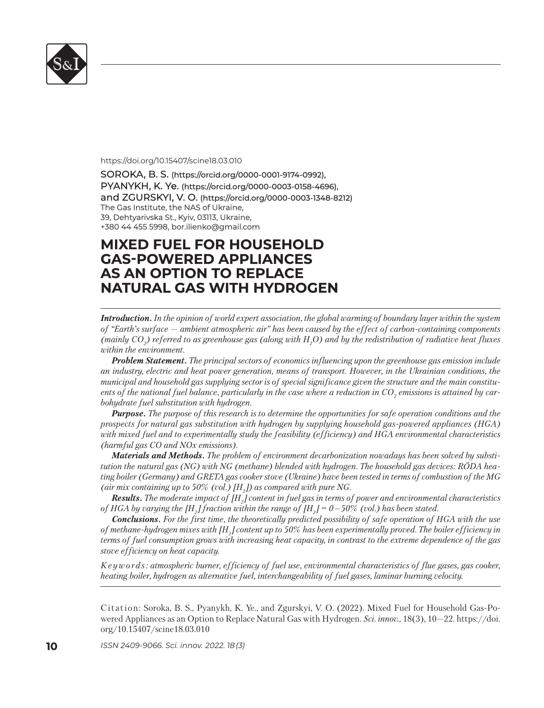

#### https://doi.org/10.15407/scine18.03.010

SOROKA, B. S. (https://orcid.org/0000-0001-9174-0992), PYANYKH, K. Ye. (https://orcid.org/0000-0003-0158-4696), and ZGURSKYI, V. O. (https://orcid.org/0000-0003-1348-8212) The Gas Institute, the NAS of Ukraine, 39, Dehtyarivska St., Kyiv, 03113, Ukraine, +380 44 455 5998, bor.ilienko@gmail.com 380 44 455 5998, bor.ilienko@gmail.com

# **MIXED FUEL FOR HOUSEHOLD IXED FUEL FOR HOUSEHOLD GAS-POWERED APPLIANCES AS-POWERED APPLIANCES AS AN OPTION TO REPLACE S AN OPTION TO REPLACE NATURAL GAS WITH HYDROGEN ATURAL GAS WITH**

*Introduction. In the opinion of world expert association, the global warming of boundary layer within the system of "Earth's surface — ambient atmospheric air" has been caused by the effect of carbon-containing components*  (mainly CO<sub>2</sub>) referred to as greenhouse gas (along with H<sub>2</sub>O) and by the redistribution of radiative heat fluxes *within the environment.* 

*Problem Statement. The principal sectors of economics influencing upon the greenhouse gas emission include an industry, electric and heat power generation, means of transport. However, in the Ukrainian conditions, the municipal and household gas supplying sector is of special significance given the structure and the main constitu*ents of the national fuel balance, particularly in the case where a reduction in CO<sub>2</sub> emissions is attained by car*bohydrate fuel substitution with hydrogen.* 

*Purpose. The purpose of this research is to determine the opportunities for safe operation conditions and the prospects for natural gas substitution with hydrogen by supplying household gas-powered appliances (HGA) with mixed fuel and to experimentally study the feasibility (efficiency) and HGA environmental characteristics (harmful gas CO and NOx emissions).* 

*Materials and Methods. The problem of environment decarbonization nowadays has been solved by substitution the natural gas (NG) with NG (methane) blended with hydrogen. The household gas devices: RÖDA heating boiler (Germany) and GRETA gas cooker stove (Ukraine) have been tested in terms of combustion of the MG*  (air mix containing up to 50% (vol.)  $[H_2]$ ) as compared with pure NG.

*Results. The moderate impact of [H2 ] content in fuel gas in terms of power and environmental characteristics of HGA by varying the*  $[H_{2}]$  *fraction within the range of*  $[H_{2}]$  *= 0—50% (vol.) has been stated.* 

*Conclusions. For the first time, the theoretically predicted possibility of safe operation of HGA with the use of methane-hydrogen mixes with [H2 ] content up to 50% has been experimentally proved. The boiler efficiency in terms of fuel consumption grows with increasing heat capacity, in contrast to the extreme dependence of the gas stove efficiency on heat capacity.* 

*K e y w o r d s : atmospheric burner, efficiency of fuel use, environmental characteristics of flue gases, gas cooker, heating boiler, hydrogen as alternative fuel, interchangeability of fuel gases, laminar burning velocity.*

Citation: Soroka, B. S., Pyanykh, K. Ye., and Zgurskyi, V. O. (2022). Mixed Fuel for Household Gas-Powered Appliances as an Option to Replace Natural Gas with Hydrogen. *Sci. in nov.*, 18(3), 10—22. https://doi. org/10.15407/scine18.03.010

**10** *ISSN 2409-9066. Sci. innov.* 2022. 18 (3)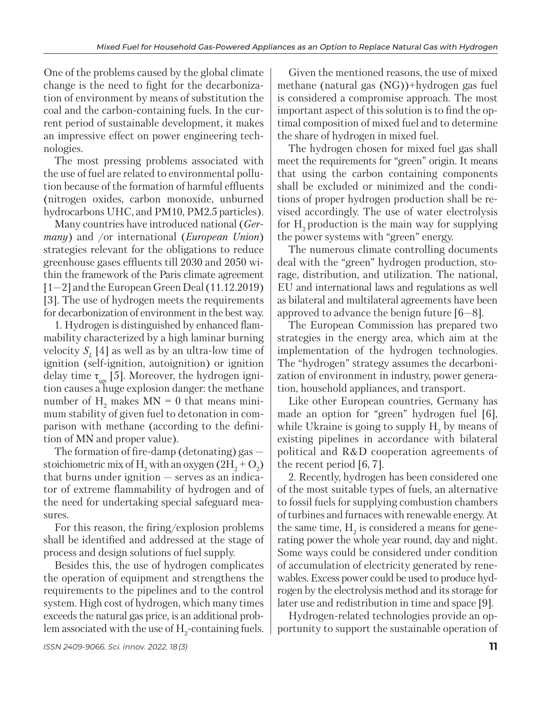One of the problems caused by the global climate change is the need to fight for the decarbonization of environment by means of substitution the coal and the carbon-containing fuels. In the current period of sustainable development, it makes an impressive effect on power engineering technologies.

The most pressing problems associated with the use of fuel are related to environmental pollution because of the formation of harmful effluents (nitrogen oxides, carbon monoxide, unburned hydrocarbons UHC, and PM10, PM2.5 particles).

Many countries have introduced national (*Germany*) and /or international (*European Union*) strategies relevant for the obligations to reduce greenhouse gases effluents till 2030 and 2050 within the framework of the Paris climate agreement [1—2] and the European Green Deal (11.12.2019) [3]. The use of hydrogen meets the requirements for decarbonization of environment in the best way.

1. Hydrogen is distinguished by enhanced flammability characterized by a high laminar burning velocity  $S<sub>i</sub>$  [4] as well as by an ultra-low time of ignition (self-ignition, autoignition) or ignition delay time τ*ign* [5]. Moreover, the hydrogen ignition causes a huge explosion danger: the methane number of  $H_2$  makes  $MN = 0$  that means minimum stability of given fuel to detonation in comparison with methane (according to the definition of MN and proper value).

The formation of fire-damp (detonating) gas  $$ stoichiometric mix of  $H_2$  with an oxygen  $(2H_2 + O_2)$ that burns under ignition — serves as an indicator of extreme flammability of hydrogen and of the need for undertaking special safeguard measures.

For this reason, the firing/explosion problems shall be identified and addressed at the stage of process and design solutions of fuel supply.

Besides this, the use of hydrogen complicates the operation of equipment and strengthens the requirements to the pipelines and to the control system. High cost of hydrogen, which many times exceeds the natural gas price, is an additional problem associated with the use of  $H_2$ -containing fuels.

Given the mentioned reasons, the use of mixed methane (natural gas (NG))+hydrogen gas fuel is considered a compromise approach. The most important aspect of this solution is to find the optimal composition of mixed fuel and to determine the share of hydrogen in mixed fuel.

The hydrogen chosen for mixed fuel gas shall meet the requirements for "green" origin. It means that using the carbon containing components shall be excluded or minimized and the conditions of proper hydrogen production shall be revised accordingly. The use of water electrolysis for  $H<sub>2</sub>$  production is the main way for supplying the power systems with "green" energy.

The numerous climate controlling documents deal with the "green" hydrogen production, storage, distribution, and utilization. The national, EU and international laws and regulations as well as bilateral and multilateral agreements have been approved to advance the benign future [6—8].

The European Commission has prepared two strategies in the energy area, which aim at the implementation of the hydrogen technologies. The "hydrogen" strategy assumes the decarbonization of environment in industry, power generation, household appliances, and transport.

Like other European countries, Germany has made an option for "green" hydrogen fuel [6], while Ukraine is going to supply  $H_2$  by means of existing pipelines in accordance with bilateral political and R&D cooperation agreements of the recent period [6, 7].

2. Recently, hydrogen has been considered one of the most suitable types of fuels, an alternative to fossil fuels for supplying combustion chambers of turbines and furnaces with renewable energy. At the same time,  $\mathrm{H}_2$  is considered a means for generating power the whole year round, day and night. Some ways could be considered under condition of accumulation of electricity generated by renewables. Excess power could be used to produce hydrogen by the electrolysis method and its storage for later use and redistribution in time and space [9].

Hydrogen-related technologies provide an opportunity to support the sustainable operation of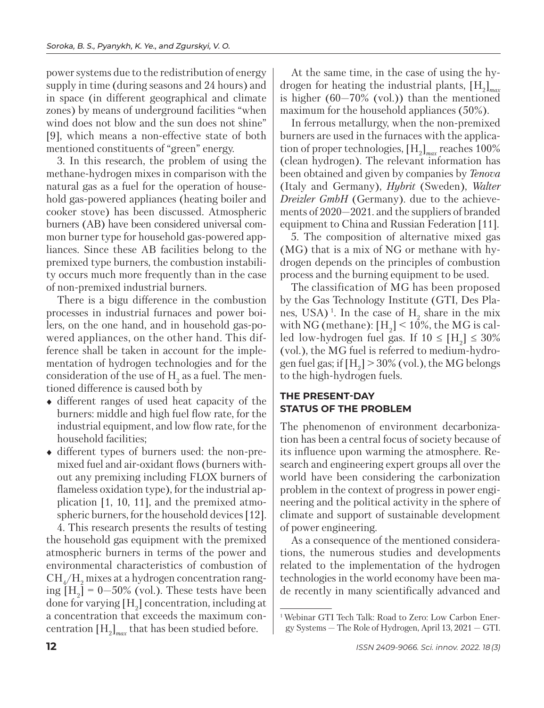power systems due to the redistribution of energy supply in time (during seasons and 24 hours) and in space (in different geographical and climate zones) by means of underground facilities "when wind does not blow and the sun does not shine" [9], which means a non-effective state of both mentioned constituents of "green" energy.

3. In this research, the problem of using the methane-hydrogen mixes in comparison with the natural gas as a fuel for the operation of household gas-powered appliances (heating boiler and cooker stove) has been discussed. Atmospheric burners (AB) have been considered universal common burner type for household gas-powered appliances. Since these AB facilities belong to the premixed type burners, the combustion instability occurs much more frequently than in the case of non-premixed industrial burners.

There is a bigu difference in the combustion processes in industrial furnaces and power boilers, on the one hand, and in household gas-powered appliances, on the other hand. This difference shall be taken in account for the implementation of hydrogen technologies and for the consideration of the use of  $H_2$  as a fuel. The mentioned difference is caused both by

- different ranges of used heat capacity of the burners: middle and high fuel flow rate, for the industrial equipment, and low flow rate, for the household facilities;
- different types of burners used: the non-premixed fuel and air-oxidant flows (burners without any premixing including FLOX burners of flameless oxidation type), for the industrial application [1, 10, 11], and the premixed atmospheric burners, for the household devices [12].

4. This research presents the results of testing the household gas equipment with the premixed atmospheric burners in terms of the power and environmental characteristics of combustion of  $\mathrm{CH}_4/\mathrm{H}_2$  mixes at a hydrogen concentration ranging  $[H_2] = 0 - 50\%$  (vol.). These tests have been done for varying  $[H_2]$  concentration, including at a concentration that exceeds the maximum concentration [H2 ]*max* that has been studied before*.*

At the same time, in the case of using the hydrogen for heating the industrial plants, [H2 ]*max* is higher  $(60-70\%$  (vol.)) than the mentioned maximum for the household appliances (50%).

In ferrous metallurgy, when the non-premixed burners are used in the furnaces with the application of proper technologies,  $[H_2]_{max}$  reaches 100% (clean hydrogen). The relevant information has been obtained and given by companies by *Tenova* (Italy and Germany), *Hybrit* (Sweden), *Walter Dreizler GmbH* (Germany). due to the achievements of 2020—2021. and the suppliers of branded equipment to China and Russian Federation [11].

5. The composition of alternative mixed gas (MG) that is a mix of NG or methane with hydrogen depends on the principles of combustion process and the burning equipment to be used.

The classification of MG has been proposed by the Gas Technology Institute (GTI, Des Planes, USA)<sup>1</sup>. In the case of  $H_2$  share in the mix with NG (methane):  $[H_2] < 10\%$ , the MG is called low-hydrogen fuel gas. If  $10 \leq [\text{H}_2] \leq 30\%$ (vol.), the MG fuel is referred to medium-hydrogen fuel gas; if  $[H_2]$  > 30% (vol.), the MG belongs to the high-hydrogen fuels.

## **THE PRESENT-DAY STATUS OF THE PROBLEM**

The phenomenon of environment decarbonization has been a central focus of society because of its influence upon warming the atmosphere. Research and engineering expert groups all over the world have been considering the carbonization problem in the context of progress in power engineering and the political activity in the sphere of climate and support of sustainable development of power engineering.

As a consequence of the mentioned considerations, the numerous studies and developments related to the implementation of the hydrogen technologies in the world economy have been made recently in many scientifically advanced and

<sup>&</sup>lt;sup>1</sup> Webinar GTI Tech Talk: Road to Zero: Low Carbon Energy Systems — The Role of Hydrogen, April 13, 2021 — GTI.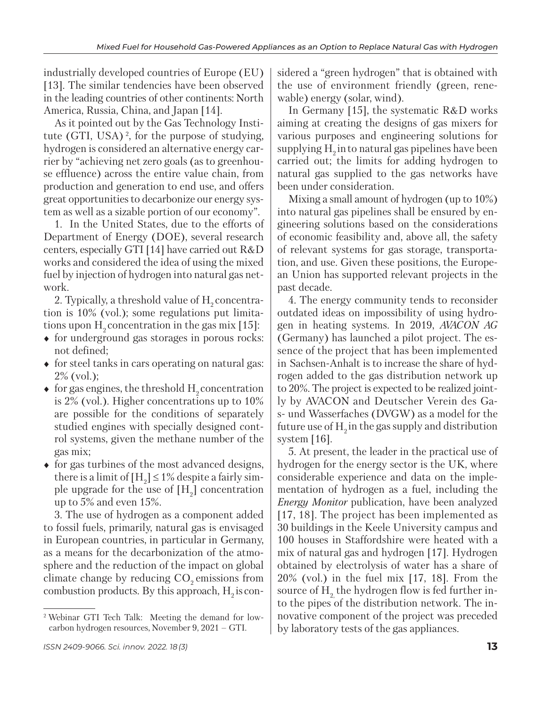industrially developed countries of Europe (EU) [13]. The similar tendencies have been observed in the leading countries of other continents: North America, Russia, China, and Japan [14].

As it pointed out by the Gas Technology Institute (GTI, USA) 2, for the purpose of studying, hydrogen is considered an alternative energy carrier by "achieving net zero goals (as to greenhouse effluence) across the entire value chain, from production and generation to end use, and offers great opportunities to decarbonize our energy system as well as a sizable portion of our economy".

1. In the United States, due to the efforts of Department of Energy (DOE), several research centers, especially GTI [14] have carried out R&D works and considered the idea of using the mixed fuel by injection of hydrogen into natural gas network.

2. Typically, a threshold value of  $H<sub>2</sub>$  concentration is 10% (vol.); some regulations put limitations upon  $H_0$  concentration in the gas mix [15]:

- $\bullet$  for underground gas storages in porous rocks: not defined;
- $\bullet$  for steel tanks in cars operating on natural gas: 2% (vol.);
- $\bullet$  for gas engines, the threshold H<sub>2</sub> concentration is 2% (vol.). Higher concentrations up to 10% are possible for the conditions of separately studied engines with specially designed control systems, given the methane number of the gas mix;
- $\bullet$  for gas turbines of the most advanced designs, there is a limit of  $[H_2] \le 1\%$  despite a fairly simple upgrade for the use of  $[H_2]$  concentration up to 5% and even 15%.

3. The use of hydrogen as a component added to fossil fuels, primarily, natural gas is envisaged in European countries, in particular in Germany, as a means for the decarbonization of the atmosphere and the reduction of the impact on global climate change by reducing  $CO<sub>2</sub>$  emissions from combustion products. By this approach,  $H_2$  is considered a "green hydrogen" that is obtained with the use of environment friendly (green, renewable) energy (solar, wind).

In Germany [15], the systematic R&D works aiming at creating the designs of gas mixers for various purposes and engineering solutions for supplying  $H<sub>2</sub>$  in to natural gas pipelines have been carried out; the limits for adding hydrogen to natural gas supplied to the gas networks have been under consideration.

Mixing a small amount of hydrogen (up to 10%) into natural gas pipelines shall be ensured by engineering solutions based on the considerations of economic feasibility and, above all, the safety of relevant systems for gas storage, transportation, and use. Given these positions, the European Union has supported relevant projects in the past decade.

4. The energy community tends to reconsider outdated ideas on impossibility of using hydrogen in heating systems. In 2019, *AVACON AG* (Germany) has launched a pilot project. The essence of the project that has been implemented in Sachsen-Anhalt is to increase the share of hydrogen added to the gas distribution network up to 20%. The project is expected to be realized jointly by AVACON and Deutscher Verein des Gas- und Wasserfaches (DVGW) as a model for the future use of  $H<sub>o</sub>$  in the gas supply and distribution system [16].

5. At present, the leader in the practical use of hydrogen for the energy sector is the UK, where considerable experience and data on the implementation of hydrogen as a fuel, including the *Energy Monitor* publication, have been analyzed [17, 18]. The project has been implemented as 30 buildings in the Keele University campus and 100 houses in Staffordshire were heated with a mix of natural gas and hydrogen [17]. Hydrogen obtained by electrolysis of water has a share of 20% (vol.) in the fuel mix [17, 18]. From the source of  $H<sub>2</sub>$ , the hydrogen flow is fed further into the pipes of the distribution network. The innovative component of the project was preceded by laboratory tests of the gas appliances.

<sup>2</sup> Webinar GTI Tech Talk: Meeting the demand for lowcarbon hydrogen resources, November 9, 2021 – GTI.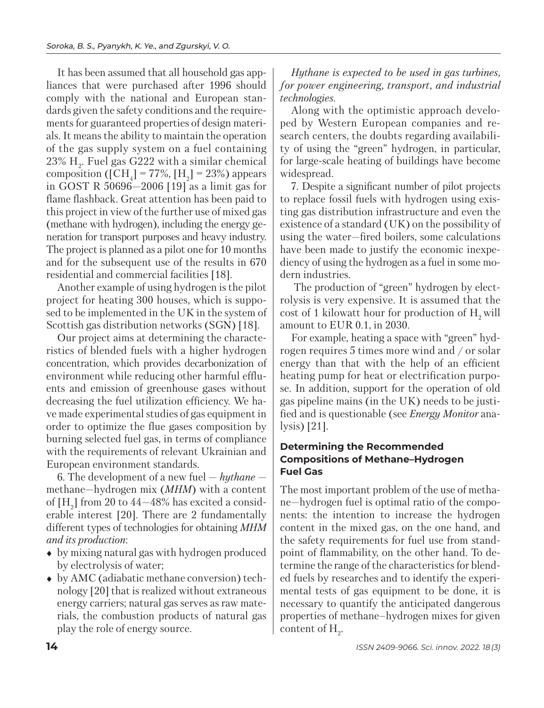It has been assumed that all household gas appliances that were purchased after 1996 should comply with the national and European standards given the safety conditions and the requirements for guaranteed properties of design materials. It means the ability to maintain the operation of the gas supply system on a fuel containing  $23\%$  H<sub>2</sub>. Fuel gas G $222$  with a similar chemical composition ([CH<sub>4</sub>] = 77%, [H<sub>2</sub>] = 23%) appears in GOST R 50696—2006 [19] as a limit gas for flame flashback. Great attention has been paid to this project in view of the further use of mixed gas (methane with hydrogen), including the energy generation for transport purposes and heavy industry. The project is planned as a pilot one for 10 months and for the subsequent use of the results in 670 residential and commercial facilities [18].

Another example of using hydrogen is the pilot project for heating 300 houses, which is supposed to be implemented in the UK in the system of Scottish gas distribution networks (SGN) [18].

Our project aims at determining the characteristics of blended fuels with a higher hydrogen con centration, which provides decarbonization of environment while reducing other harmful effluents and emission of greenhouse gases without decreasing the fuel utilization efficiency. We have made experimental studies of gas equipment in order to optimize the flue gases composition by burning selected fuel gas, in terms of compliance with the requirements of relevant Ukrainian and European environment standards.

6. The development of a new fuel — *hythane*  methane—hydrogen mix (*MHM*) with a content of [H<sub>2</sub>] from 20 to 44—48% has excited a considerable interest [20]. There are 2 fundamentally different types of technologies for obtaining *MHM and its production*:

- by mixing natural gas with hydrogen produced by electrolysis of water;
- by AMC (adiabatic methane conversion) technology [20] that is realized without extraneous energy carriers; natural gas serves as raw materials, the combustion products of natural gas play the role of energy source.

*Hythane is expected to be used in gas turbines, for power engineering, transport, and industrial technologies.*

Along with the optimistic approach developed by Western European companies and research centers, the doubts regarding availability of using the "green" hydrogen, in particular, for large-scale heating of buildings have become widespread.

7. Despite a significant number of pilot projects to replace fossil fuels with hydrogen using existing gas distribution infrastructure and even the existence of a standard (UK) on the possibility of using the water—fired boilers, some calculations have been made to justify the economic inexpediency of using the hydrogen as a fuel in some modern industries.

 The production of "green" hydrogen by electrolysis is very expensive. It is assumed that the cost of 1 kilowatt hour for production of  $H<sub>2</sub>$  will amount to EUR 0.1, in 2030.

For example, heating a space with "green" hydrogen requires 5 times more wind and / or solar energy than that with the help of an efficient heating pump for heat or electrification purpose. In addition, support for the operation of old gas pipeline mains (in the UK) needs to be justified and is questionable (see *Energy Monitor* analysis) [21].

### **Determining the Recommended Compositions of Methane–Hydrogen Fuel Gas**

The most important problem of the use of methane—hydrogen fuel is optimal ratio of the components: the intention to increase the hydrogen content in the mixed gas, on the one hand, and the safety requirements for fuel use from standpoint of flammability, on the other hand. To determine the range of the characteristics for blended fuels by researches and to identify the experimental tests of gas equipment to be done, it is necessary to quantify the anticipated dangerous properties of methane–hydrogen mixes for given content of  $H_2$ .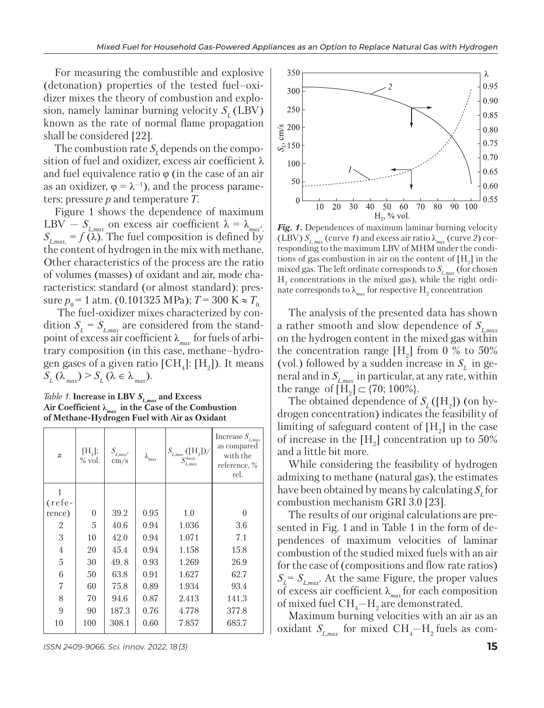For measuring the combustible and explosive (detonation) properties of the tested fuel–oxidizer mixes the theory of combustion and explosion, namely laminar burning velocity  $S<sub>r</sub>$  (LBV) known as the rate of normal flame propagation shall be considered [22].

The combustion rate  $S<sub>r</sub>$  depends on the composition of fuel and oxidizer, excess air coefficient λ and fuel equivalence ratio  $\varphi$  (in the case of an air as an oxidizer,  $\varphi = \lambda^{-1}$ , and the process parameters: pressure *p* and temperature *T.*

Figure 1 shows the dependence of maximum LBV –  $S_{L,max}$  on excess air coefficient  $\lambda = \lambda_{max}$ .  $S_{L, max} = f(\vec{\lambda})$ . The fuel composition is defined by the content of hydrogen in the mix with methane. Other characteristics of the process are the ratio of volumes (masses) of oxidant and air, mode characteristics: standard (or almost standard): pressure  $p_0 = 1$  atm. (0.101325 MPa);  $T = 300$  K  $\approx T_0$ .

dition  $S_L = S_{L,max}$  are considered from the stand-The fuel-oxidizer mixes characterized by conpoint of excess air coefficient λ*max* for fuels of arbitrary composition (in this case, methane–hydrogen gases of a given ratio  $[\text{CH}_4]$ :  $[\text{H}_2]$ ). It means  $S_L(\lambda_{max}) > S_L(\lambda \in \lambda_{max}).$ 

*Table 1.* **Increase in LBV**  $S_{L,max}$  and Excess **Air Coefficient λ***max* **in the Case of the Combustion of Methane-Hydrogen Fuel with Air as Oxidant**

| $\#$           | [H <sub>2</sub> ];<br>$\%$ vol. | $S_{_{L,max}},\;$<br>$\rm cm/s$ | $\lambda_{\text{max}}$ | $S_{L,max} (\mathrm{[H_2]})/$<br>$S_{L,max}^{basic}$ | Increase $S_{_{L,max}}$<br>as compared<br>with the<br>reference, %<br>rel. |
|----------------|---------------------------------|---------------------------------|------------------------|------------------------------------------------------|----------------------------------------------------------------------------|
|                |                                 |                                 |                        |                                                      |                                                                            |
| $(refe-$       |                                 |                                 |                        |                                                      |                                                                            |
| rence)         | $\theta$                        | 39.2                            | 0.95                   | 1.0                                                  | $\theta$                                                                   |
| 2              | $\overline{5}$                  | 40.6                            | 0.94                   | 1.036                                                | 3.6                                                                        |
| 3              | 10                              | 42.0                            | 0.94                   | 1.071                                                | 7.1                                                                        |
| $\overline{4}$ | 20                              | 45.4                            | 0.94                   | 1.158                                                | 15.8                                                                       |
| 5              | 30                              | 49.8                            | 0.93                   | 1.269                                                | 26.9                                                                       |
| 6              | 50                              | 63.8                            | 0.91                   | 1.627                                                | 62.7                                                                       |
| 7              | 60                              | 75.8                            | 0.89                   | 1.934                                                | 93.4                                                                       |
| 8              | 70                              | 94.6                            | 0.87                   | 2.413                                                | 141.3                                                                      |
| 9              | 90                              | 187.3                           | 0.76                   | 4.778                                                | 377.8                                                                      |
| 10             | 100                             | 308.1                           | 0.60                   | 7.857                                                | 685.7                                                                      |

*ISSN 2409-9066. Sci. innov.* 2022. 18 (3) **15**



*Fig. 1.* Dependences of maximum laminar burning velocity (LBV)  $S_{L_{max}}$  (curve 1) and excess air ratio  $\lambda_{max}$  (curve 2) corresponding to the maximum LBV of MHM under the conditions of gas combustion in air on the content of  $[H_2]$  in the mixed gas. The left ordinate corresponds to *SL,max* (for chosen  $H<sub>2</sub>$  concentrations in the mixed gas), while the right ordinate corresponds to  $\lambda_{\scriptscriptstyle max}$  for respective  $\rm H_2$  concentration

The analysis of the presented data has shown a rather smooth and slow dependence of *SL,max*  on the hydrogen content in the mixed gas within the concentration range  $[H_2]$  from 0 % to 50% (vol.) followed by a sudden increase in  $S<sub>i</sub>$  in general and in  $S_{L_{max}}$  in particular, at any rate, within the range of  $[H_2] \subset \{70, 100\% \}.$ 

The obtained dependence of  $S_L([H_2])$  (on hydrogen concentration) indicates the feasibility of limiting of safeguard content of  $[H_2]$  in the case of increase in the  $[H_2]$  concentration up to 50% and a little bit more.

While considering the feasibility of hydrogen admixing to methane (natural gas), the estimates have been obtained by means by calculating  $S<sub>r</sub>$  for combustion mechanism GRI 3.0 [23].

The results of our original calculations are presented in Fig. 1 and in Table 1 in the form of dependences of maximum velocities of laminar combustion of the studied mixed fuels with an air for the case of (compositions and flow rate ratios) *SL= SL,max*. At the same Figure, the proper values of excess air coefficient λ*max* for each composition of mixed fuel  $\text{CH}_4\text{--H}_2$  are demonstrated.

Maximum burning velocities with an air as an oxidant  $S_{_{L,\max}}$  for mixed CH<sub>4</sub> $-$ H<sub>2</sub> fuels as com-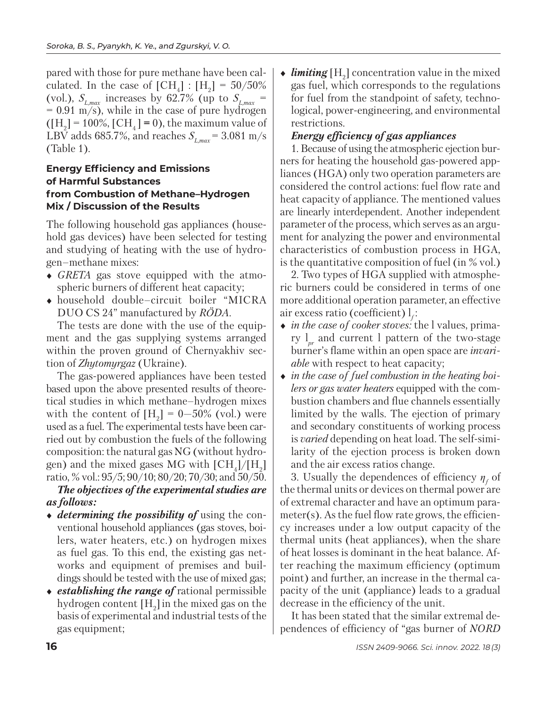pared with those for pure methane have been calculated. In the case of  $[CH_4] : [H_2] = 50/50\%$ (vol.),  $S_{L, max}$  increases by 62.7% (up to  $S_{L, max}$  =  $= 0.91$  m/s), while in the case of pure hydrogen  $([H<sub>2</sub>] = 100\%, [CH<sub>4</sub>] = 0),$  the maximum value of LBV adds 685.7%, and reaches  $S_{L_{max}} = 3.081$  m/s (Table 1).

### **Energy Efficiency and Emissions of Harmful Substances from Combustion of Methane–Hydrogen Mix / Discussion of the Results**

The following household gas appliances (household gas devices) have been selected for testing and studying of heating with the use of hydrogen–methane mixes:

- *GRETA* gas stove equipped with the atmospheric burners of different heat capacity;
- household double–circuit boiler "MICRA DUO CS 24" manufactured by *RÖDA*.

The tests are done with the use of the equipment and the gas supplying systems arranged within the proven ground of Chernyakhiv section of *Zhytomyrgaz* (Ukraine).

The gas-powered appliances have been tested based upon the above presented results of theoretical studies in which methane–hydrogen mixes with the content of  $[H_2] = 0 - 50\%$  (vol.) were used as a fuel. The experimental tests have been carried out by combustion the fuels of the following composition: the natural gas NG (without hydrogen) and the mixed gases MG with  $\text{[CH}_4]/\text{[H}_2\text{]}$ ratio, % vol.: 95/5; 90/10; 80/20; 70/30; and 50/50.

# *The objectives of the experimental studies are as follows:*

- *determining the possibility of* using the conventional household appliances (gas stoves, boilers, water heaters, etc.) on hydrogen mixes as fuel gas. To this end, the existing gas networks and equipment of premises and buildings should be tested with the use of mixed gas;
- *establishing the range of* rational permissible hydrogen content  $[H_2]$  in the mixed gas on the basis of experimental and industrial tests of the gas equipment;

 $\bullet$  *limiting*  $[H_2]$  concentration value in the mixed gas fuel, which corresponds to the regulations for fuel from the standpoint of safety, technological, power-engineering, and environmental restrictions.

# *Energy efficiency of gas appliances*

1. Because of using the atmospheric ejection burners for heating the household gas-powered appliances (HGA) only two operation parameters are considered the control actions: fuel flow rate and heat capacity of appliance. The mentioned values are linearly interdependent. Another independent parameter of the process, which serves as an argument for analyzing the power and environmental characteristics of combustion process in HGA, is the quantitative composition of fuel (in % vol.)

2. Two types of HGA supplied with atmosphe ric burners could be considered in terms of one more additional operation parameter, an effective air excess ratio (coefficient)  $l_f$ :

- *in the case of cooker stoves:* the l values, primary l*pr* and current l pattern of the two-stage burner's flame within an open space are *invariable* with respect to heat capacity;
- *in the case of fuel combustion in the heating boilers or gas water heaters* equipped with the combustion chambers and flue channels essentially limited by the walls. The ejection of primary and secondary constituents of working process is *varied* depending on heat load. The self-similarity of the ejection process is broken down and the air excess ratios change.

3. Usually the dependences of efficiency  $\eta_f$  of the thermal units or devices on thermal power are of extremal character and have an optimum parameter(s). As the fuel flow rate grows, the efficiency increases under a low output capacity of the thermal units (heat appliances), when the share of heat losses is dominant in the heat balance. After reaching the maximum efficiency (optimum point) and further, an increase in the thermal capacity of the unit (appliance) leads to a gradual decrease in the efficiency of the unit.

It has been stated that the similar extremal dependences of efficiency of "gas burner of *NORD*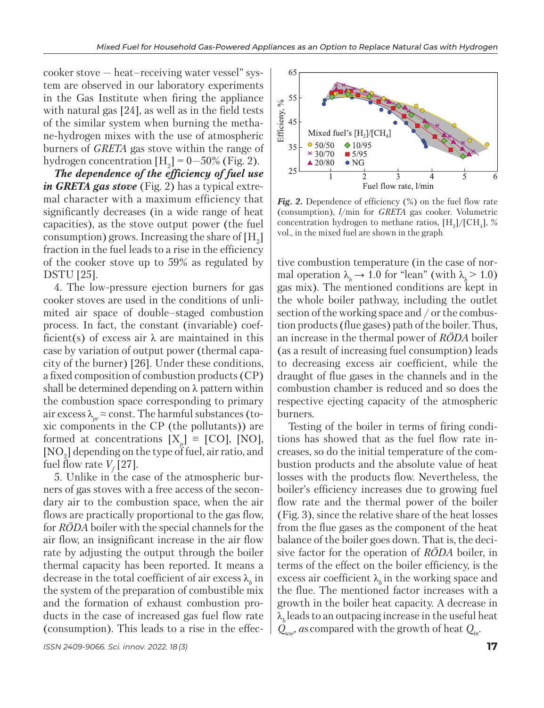cooker stove — heat–receiving water vessel" system are observed in our laboratory experiments in the Gas Institute when firing the appliance with natural gas [24], as well as in the field tests of the similar system when burning the methane-hydrogen mixes with the use of atmospheric burners of *GRETA* gas stove within the range of hydrogen concentration  $[H_2] = 0 - 50\%$  (Fig. 2).

*The dependence of the efficiency of fuel use in GRETA gas stove* (Fig. 2) has a typical extremal character with a maximum efficiency that significantly decreases (in a wide range of heat capacities), as the stove output power (the fuel consumption) grows. Increasing the share of  $[H_2]$ fraction in the fuel leads to a rise in the efficiency of the cooker stove up to 59% as regulated by DSTU [25].

4. The low-pressure ejection burners for gas cooker stoves are used in the conditions of unlimited air space of double–staged combustion process. In fact, the constant (invariable) coefficient(s) of excess air  $\lambda$  are maintained in this case by variation of output power (thermal capacity of the burner) [26]. Under these conditions, a fixed composition of combustion products (CP) shall be determined depending on  $\lambda$  pattern within the combustion space corresponding to primary air excess  $\lambda_{pr} \approx$  const. The harmful substances (toxic components in the CP (the pollutants)) are formed at concentrations  $[X_p] \equiv$  [CO], [NO],  $[{\rm NO}_2]$  depending on the type of fuel, air ratio, and fuel flow rate  $V_f[27]$ .

5. Unlike in the case of the atmospheric burners of gas stoves with a free access of the secondary air to the combustion space, when the air flows are practically proportional to the gas flow, for *RÖDA* boiler with the special channels for the air flow, an insignificant increase in the air flow rate by adjusting the output through the boiler thermal capacity has been reported. It means a decrease in the total coefficient of air excess  $\lambda_b$  in the system of the preparation of combustible mix and the formation of exhaust combustion products in the case of increased gas fuel flow rate (consumption). This leads to a rise in the effec-



Fig. 2. Dependence of efficiency (%) on the fuel flow rate (consumption), *l*/min for *GRETA* gas cooker. Volumetric concentration hydrogen to methane ratios,  $[H_2]/[CH_4]$ , % vol., in the mixed fuel are shown in the graph

tive combustion temperature (in the case of normal operation  $\lambda_h \rightarrow 1.0$  for "lean" (with  $\lambda_h > 1.0$ ) gas mix). The mentioned conditions are kept in the whole boiler pathway, including the outlet section of the working space and / or the combustion products (flue gases) path of the boiler. Thus, an increase in the thermal power of *RÖDA* boiler (as a result of increasing fuel consumption) leads to decreasing excess air coefficient, while the draught of flue gases in the channels and in the combustion chamber is reduced and so does the respective ejecting capacity of the atmospheric burners.

Testing of the boiler in terms of firing conditions has showed that as the fuel flow rate increases, so do the initial temperature of the combustion products and the absolute value of heat losses with the products flow. Nevertheless, the boiler's efficiency increases due to growing fuel flow rate and the thermal power of the boiler (Fig. 3), since the relative share of the heat losses from the flue gases as the component of the heat balance of the boiler goes down. That is, the decisive factor for the operation of *RÖDA* boiler, in terms of the effect on the boiler efficiency, is the excess air coefficient  $\lambda_k$  in the working space and the flue. The mentioned factor increases with a growth in the boiler heat capacity. A decrease in  $\lambda_h$  leads to an outpacing increase in the useful heat  $Q_{\text{user}}$ , *as* compared with the growth of heat  $Q_{\text{in}}$ .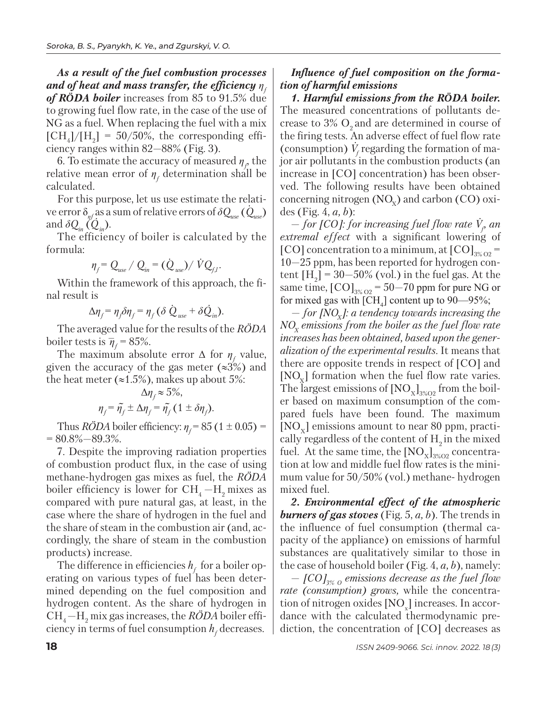*As a result of the fuel combustion processes and of heat and mass transfer, the efficiency η<sup>f</sup> of RÖDA boiler* increases from 85 to 91.5% due to growing fuel flow rate, in the case of the use of NG as a fuel. When replacing the fuel with a mix  $[CH_4]/[H_2] = 50/50\%$ , the corresponding efficiency ranges within 82—88% (Fig. 3).

6. To estimate the accuracy of measured  $\eta_f$  the relative mean error of  $\eta_f$  determination shall be calculated.

For this purpose, let us use estimate the relati- *.* ve error  $\delta_{\eta f}$  as a sum of relative errors of  $\delta Q_{use}$  ( $Q_{use}$ ) and  $\delta Q_{in} (Q_{in}).$ 

The efficiency of boiler is calculated by the formula:

$$
\eta_{f} = Q_{use} / Q_{in} = (\dot{Q}_{use}) / \dot{V} Q_{f,l}.
$$

Within the framework of this approach, the final result is

$$
\Delta \eta_f = \eta_f \delta \eta_f = \eta_f (\delta \dot{Q}_{use} + \delta \dot{Q}_{in}).
$$

The averaged value for the results of the *RÖDA* boiler tests is  $\overline{\eta}_f = 85\%$ .

The maximum absolute error  $\Delta$  for  $\eta_f$  value, given the accuracy of the gas meter ( $\approx 3\%$ ) and the heat meter ( $\approx 1.5\%$ ), makes up about 5%:

$$
\Delta \eta_f \approx 5\%,
$$
  

$$
\eta_f = \tilde{\eta}_f \pm \Delta \eta_f = \tilde{\eta}_f (1 \pm \delta \eta_f).
$$

Thus *RODA* boiler efficiency:  $\eta_f = 85 (1 \pm 0.05) =$  $= 80.8\% - 89.3\%$ .

7. Despite the improving radiation properties of combustion product flux, in the case of using methane-hydrogen gas mixes as fuel, the *RÖDA* boiler efficiency is lower for  $CH_4-H_2$  mixes as compared with pure natural gas, at least, in the case where the share of hydrogen in the fuel and the share of steam in the combustion air (and, accordingly, the share of steam in the combustion products) increase.

The difference in efficiencies  $h_f$  for a boiler operating on various types of fuel has been determined depending on the fuel composition and hydrogen content. As the share of hydrogen in СН4 —H2 mix gas increases, the *RÖDA* boiler efficiency in terms of fuel consumption  $h_{\!\scriptscriptstyle f}$  decreases.

# *Influence of fuel composition on the formation of harmful emissions*

*1. Harmful emissions from the RÖDA boiler.*  The measured concentrations of pollutants decrease to  $3\%$  O<sub>2</sub> and are determined in course of the firing tests. An adverse effect of fuel flow rate *.* (consumption)  $V_f$  regarding the formation of major air pollutants in the combustion products (an increase in [CO] concentration) has been observed. The following results have been obtained concerning nitrogen  $(NO_x)$  and carbon  $(CO)$  oxides (Fig. 4, *a, b*):

— *for [CO]: for increasing fuel flow rate V. f , an extremal effect* with a significant lowering of [CO] concentration to a minimum, at  $[CO]_{3\%O2}$  = 10—25 ppm, has been reported for hydrogen content  $[H_2] = 30 - 50\%$  (vol.) in the fuel gas. At the same time,  $[CO]_{3\%O2} = 50-70$  ppm for pure NG or for mixed gas with  $\text{[CH}_4\text{]}$  content up to 90—95%;

 $-$  for [NO<sub>x</sub>]: a tendency towards increasing the  $NO<sub>x</sub>$  emissions from the boiler as the fuel flow rate *increases has been obtained, based upon the generalization of the experimental results.* It means that there are opposite trends in respect of [CO] and  $[NO<sub>x</sub>]$  formation when the fuel flow rate varies. The largest emissions of  $[NO_x]_{3\%O2}$  from the boiler based on maximum consumption of the compared fuels have been found. The maximum  $[NO_{v}]$  emissions amount to near 80 ppm, practically regardless of the content of  $H<sub>2</sub>$  in the mixed fuel. At the same time, the  $[NO_x]_{3\%O2}$  concentration at low and middle fuel flow rates is the minimum value for 50/50% (vol.) methane- hydrogen mixed fuel.

*2. Environmental effect of the atmospheric burners of gas stoves* (Fig. 5, *a, b*). The trends in the influence of fuel consumption (thermal capacity of the appliance) on emissions of harmful substances are qualitatively similar to those in the case of household boiler (Fig. 4, *a, b*), namely:

 $-$  [CO]<sub>3% O</sub> emissions decrease as the fuel flow *rate (consumption) grows,* while the concentration of nitrogen oxides  $\rm [NO_x]$  increases. In accordance with the calculated thermodynamic prediction, the concentration of [CO] decreases as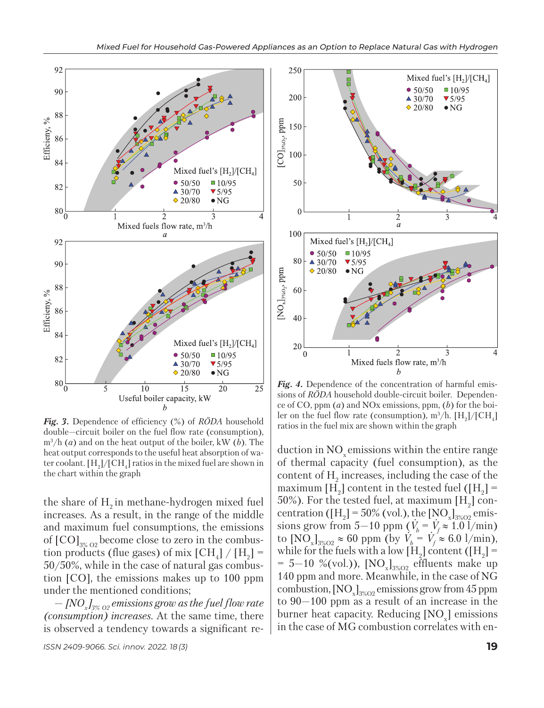

*Fig. 3.* Dependence of efficiency (%) of *RÖDA* household double—circuit boiler on the fuel flow rate (consumption), m3 /h (*a*) and on the heat output of the boiler, kW (*b*). The heat output corresponds to the useful heat absorption of water coolant.  $[H_2]/[CH_4]$  ratios in the mixed fuel are shown in the chart within the graph

the share of  $H<sub>2</sub>$  in methane-hydrogen mixed fuel increases. As a result, in the range of the middle and maximum fuel consumptions, the emissions of  $\text{[CO]}_{3\% \text{O2}}$  become close to zero in the combustion products (flue gases) of mix  $\text{[CH}_4] / \text{[H}_2$ ] = 50/50%, while in the case of natural gas combustion [CO], the emissions makes up to 100 ppm under the mentioned conditions;

— *[NOx ]3% O2 emissions grow as the fuel flow rate (consumption) increases.* At the same time, there is observed a tendency towards a significant re-



*Fig. 4.* Dependence of the concentration of harmful emissions of *RÖDA* household double-circuit boiler. Dependence of CO, ppm (*a*) and NOx emissions, ppm, (*b*) for the boiler on the fuel flow rate (consumption),  $\text{m}^3/\text{h}$ . [H<sub>2</sub>]/[CH<sub>4</sub>] ratios in the fuel mix are shown within the graph

duction in  $NO<sub>x</sub>$  emissions within the entire range of thermal capacity (fuel consumption), as the content of  $H_2$  increases, including the case of the maximum [H<sub>2</sub>] content in the tested fuel ([H<sub>2</sub>] = 50%). For the tested fuel, at maximum [H<sub>2</sub>] concentration ( $[H_2] = 50\%$  (vol.), the  $[NO_x]_{3\%02}$  emissions grow from  $5-10$  ppm  $(V_b = V_f \approx 1.0$  l/min) to  $[NO_x]_{3\%O2} \approx 60$  ppm (by *V .*  $\alpha_b^r = V$ *.*  $f_f \approx 6.0 \frac{1}{\text{min}}$ , while for the fuels with a low [H<sub>2</sub>] content ([H<sub>2</sub>] =  $= 5{\text -}10$  %(vol.)), [NO<sub>x</sub>]<sub>3%O2</sub> effluents make up 140 ppm and more. Meanwhile, in the case of NG combustion,  $\text{[NO}_x\text{]}_{3\%02}$  emissions grow from 45 ppm to 90—100 ppm as a result of an increase in the burner heat capacity. Reducing [NO<sub>x</sub>] emissions in the case of MG combustion correlates with en-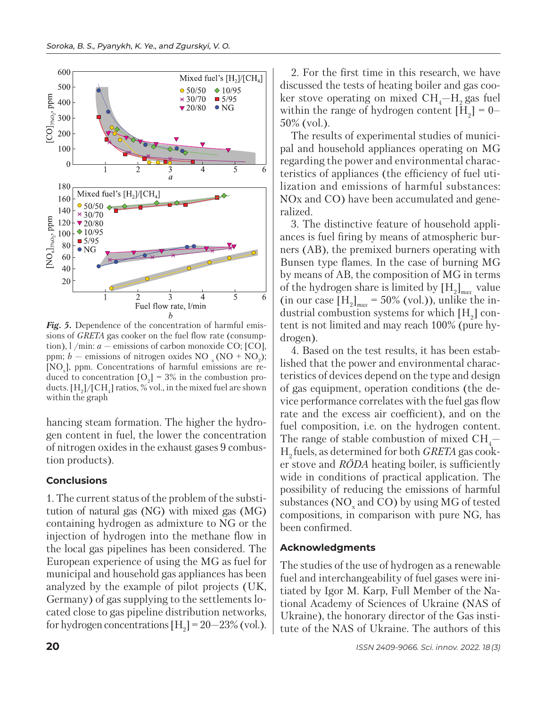

*Fig. 5.* Dependence of the concentration of harmful emissions of *GRETA* gas cooker on the fuel flow rate (consumption),  $1/m$ in: *a* — emissions of carbon monoxide CO; [CO], ppm;  $b$  – emissions of nitrogen oxides NO  $_{\rm x}$  (NO + NO<sub>2</sub>); [NOx ], ppm. Concentrations of harmful emissions are reduced to concentration  $[O_2] = 3\%$  in the combustion products.  $[H_2]/[CH_4]$  ratios, % vol., in the mixed fuel are shown within the graph

hancing steam formation. The higher the hydrogen content in fuel, the lower the concentration of nitrogen oxides in the exhaust gases 9 combustion products).

#### **Conclusions**

1. The current status of the problem of the substitution of natural gas (NG) with mixed gas (MG) containing hydrogen as admixture to NG or the injection of hydrogen into the methane flow in the local gas pipelines has been considered. The European experience of using the MG as fuel for municipal and household gas appliances has been analyzed by the example of pilot projects (UK, Germany) of gas supplying to the settlements located close to gas pipeline distribution networks, for hydrogen concentrations  $[H_2] = 20 - 23\%$  (vol.).

2. For the first time in this research, we have discussed the tests of heating boiler and gas cooker stove operating on mixed  $\text{CH}_4-\text{H}_2$  gas fuel within the range of hydrogen content  $[H_2] = 0 -$ 50% (vol.).

The results of experimental studies of municipal and household appliances operating on MG regarding the power and environmental characteristics of appliances (the efficiency of fuel utilization and emissions of harmful substances: NOx and CO) have been accumulated and generalized.

3. The distinctive feature of household appliances is fuel firing by means of atmospheric burners (AB), the premixed burners operating with Bunsen type flames. In the case of burning MG by means of AB, the composition of MG in terms of the hydrogen share is limited by [H2 ]*max* value  $(in \text{ our case } [H_2]_{max} = 50\% \text{ (vol.)}),$  unlike the industrial combustion systems for which  $[H_2]$  content is not limited and may reach 100% (pure hydrogen).

4. Based on the test results, it has been established that the power and environmental characteristics of devices depend on the type and design of gas equipment, operation conditions (the device performance correlates with the fuel gas flow rate and the excess air coefficient), and on the fuel composition, i.e. on the hydrogen content. The range of stable combustion of mixed  $\text{CH}_4$ – H2 fuels, as determined for both *GRETA* gas cooker stove and *RÖDA* heating boiler, is sufficiently wide in conditions of practical application. The possibility of reducing the emissions of harmful substances ( $NO<sub>x</sub>$  and CO) by using MG of tested compositions, in comparison with pure NG, has been confirmed.

### **Acknowledgments**

The studies of the use of hydrogen as a renewable fuel and interchangeability of fuel gases were initiated by Igor M. Karp, Full Member of the National Academy of Sciences of Ukraine (NAS of Ukraine), the honorary director of the Gas institute of the NAS of Ukraine. The authors of this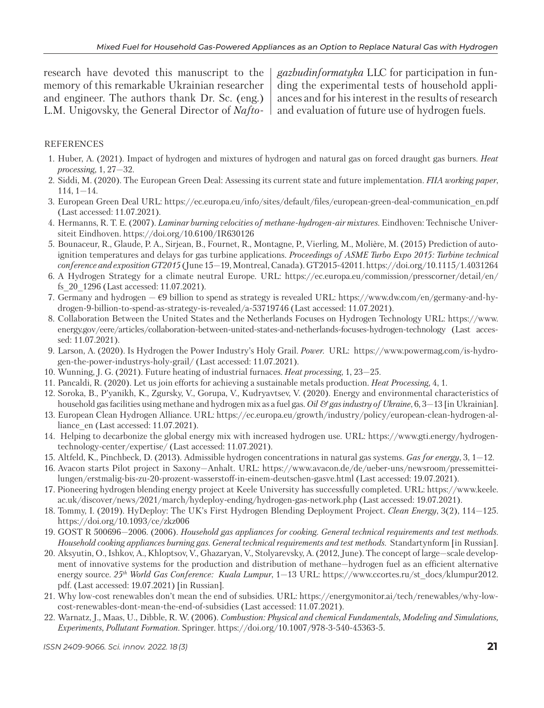research have devoted this manuscript to the memory of this remarkable Ukrainian researcher and engineer. The authors thank Dr. Sc. (eng.) L.M. Unigovsky, the General Director of *Nafto-*

*gazbudinformatyka* LLC for participation in funding the experimental tests of household appliances and for his interest in the results of research and evaluation of future use of hydrogen fuels.

#### REFERENCES

- 1. Huber, A. (2021). Іmpact of hydrogen and mixtures of hydrogen and natural gas on forced draught gas burners. *Heat processing*, 1, 27—32.
- 2. Siddi, M. (2020). The European Green Deal: Assessing its current state and future implementation. *FIIA working paper*, 114, 1—14.
- 3. European Green Deal URL: https://ec.europa.eu/info/sites/default/files/european-green-deal-communication\_en.pdf (Last accessed: 11.07.2021).
- 4. Hermanns, R. T. E. (2007). *Laminar burning velocities of methane-hydrogen-air mixtures.* Eindhoven: Technische Universiteit Eindhoven. https://doi.org/10.6100/IR630126
- 5. Bounaceur, R., Glaude, P. A., Sirjean, B., Fournet, R., Montagne, P., Vierling, M., Molière, M. (2015) Prediction of autoignition temperatures and delays for gas turbine applications. *Proceedings of ASME Turbo Expo 2015: Turbine technical conference and exposition GT2015* (June 15—19, Montreal, Canada). GT2015-42011. https://doi.org/10.1115/1.4031264
- 6. A Hydrogen Strategy for a climate neutral Europe. URL: https://ec.europa.eu/commission/presscorner/detail/en/ fs\_20\_1296 (Last accessed: 11.07.2021).
- 7. Germany and hydrogen  $-\epsilon$ 9 billion to spend as strategy is revealed URL: https://www.dw.com/en/germany-and-hydrogen-9-billion-to-spend-as-strategy-is-revealed/a-53719746 (Last accessed: 11.07.2021).
- 8. Collaboration Between the United States and the Netherlands Focuses on Hydrogen Technology URL: https://www. energy.gov/eere/articles/collaboration-between-united-states-and-netherlands-focuses-hydrogen-technology (Last accessed: 11.07.2021).
- 9. Larson, A. (2020). Is Hydrogen the Power Industry's Holy Grail. *Power.* URL: https://www.powermag.com/is-hydrogen-the-power-industrys-holy-grail/ (Last accessed: 11.07.2021).
- 10. Wunning, J. G. (2021). Future heating of industrial furnaces. *Heat processing*, 1, 23—25.
- 11. Pancaldi, R. (2020). Let us join efforts for achieving a sustainable metals production. *Heat Processing*, 4, 1.
- 12. Soroka, B., P'yanikh, K., Zgursky, V., Gorupa, V., Kudryavtsev, V. (2020). Energy and environmental characteristics of household gas facilities using methane and hydrogen mix as a fuel gas. *Oil & gas industry of Ukraine*, 6, 3—13 [in Ukrainian].
- 13. European Clean Hydrogen Alliance. URL: https://ec.europa.eu/growth/industry/policy/european-clean-hydrogen-alliance\_en (Last accessed: 11.07.2021).
- 14. Helping to decarbonize the global energy mix with increased hydrogen use. URL: https://www.gti.energy/hydrogentechnology-center/expertise/ (Last accessed: 11.07.2021).
- 15. Altfeld, K., Pinchbeck, D. (2013). Admissible hydrogen concentrations in natural gas systems. *Gas for energy*, 3, 1—12.
- 16. Avacon starts Pilot project in Saxony—Anhalt. URL: https://www.avacon.de/de/ueber-uns/newsroom/pressemit teilungen/erstmalig-bis-zu-20-prozent-wasserstoff-in-einem-deutschen-gasve.html (Last accessed: 19.07.2021).
- 17. Pioneering hydrogen blending energy project at Keele University has successfully completed. URL: https://www.keele. ac.uk/discover/news/2021/march/hydeploy-ending/hydrogen-gas-network.php (Last accessed: 19.07.2021).
- 18. Tommy, I. (2019). HyDeploy: The UK's First Hydrogen Blending Deployment Project. *Clean Energy*, 3(2), 114—125. https://doi.org/10.1093/ce/zkz006
- 19. GOST R 500696—2006. (2006). *Household gas appliances for cooking. General technical requirements and test methods. Household cooking appliances burning gas. General technical requirements and test methods.* Standartynform [in Russian].
- 20. Aksyutin, O., Ishkov, A., Khloptsov, V., Ghazaryan, V., Stolyarevsky, A. (2012, June). The concept of large—scale development of innovative systems for the production and distribution of methane—hydrogen fuel as an efficient alternative energy source. 25<sup>th</sup> World Gas Conference: Kuala Lumpur, 1-13 URL: https://www.ccortes.ru/st\_docs/klumpur2012. pdf. (Last accessed: 19.07.2021) [in Russian].
- 21. Why low-cost renewables don't mean the end of subsidies. URL: https://energymonitor.ai/tech/renewables/why-lowcost-renewables-dont-mean-the-end-of-subsidies (Last accessed: 11.07.2021).
- 22. Warnatz, J., Maas, U., Dibble, R. W. (2006). *Combustion: Physical and chemical Fundamentals, Modeling and Simulations, Experiments, Pollutant Formation*. Springer. https://doi.org/10.1007/978-3-540-45363-5.